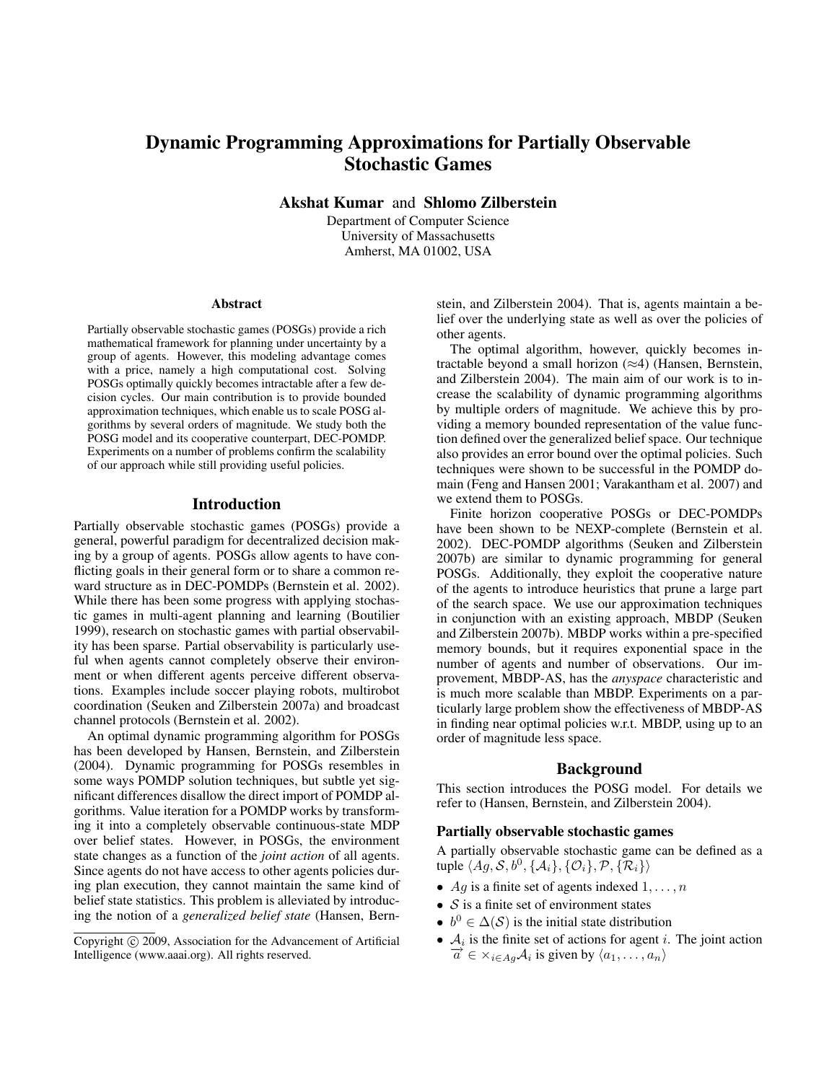# Dynamic Programming Approximations for Partially Observable Stochastic Games

Akshat Kumar and Shlomo Zilberstein

Department of Computer Science University of Massachusetts Amherst, MA 01002, USA

#### Abstract

Partially observable stochastic games (POSGs) provide a rich mathematical framework for planning under uncertainty by a group of agents. However, this modeling advantage comes with a price, namely a high computational cost. Solving POSGs optimally quickly becomes intractable after a few decision cycles. Our main contribution is to provide bounded approximation techniques, which enable us to scale POSG algorithms by several orders of magnitude. We study both the POSG model and its cooperative counterpart, DEC-POMDP. Experiments on a number of problems confirm the scalability of our approach while still providing useful policies.

### Introduction

Partially observable stochastic games (POSGs) provide a general, powerful paradigm for decentralized decision making by a group of agents. POSGs allow agents to have conflicting goals in their general form or to share a common reward structure as in DEC-POMDPs (Bernstein et al. 2002). While there has been some progress with applying stochastic games in multi-agent planning and learning (Boutilier 1999), research on stochastic games with partial observability has been sparse. Partial observability is particularly useful when agents cannot completely observe their environment or when different agents perceive different observations. Examples include soccer playing robots, multirobot coordination (Seuken and Zilberstein 2007a) and broadcast channel protocols (Bernstein et al. 2002).

An optimal dynamic programming algorithm for POSGs has been developed by Hansen, Bernstein, and Zilberstein (2004). Dynamic programming for POSGs resembles in some ways POMDP solution techniques, but subtle yet significant differences disallow the direct import of POMDP algorithms. Value iteration for a POMDP works by transforming it into a completely observable continuous-state MDP over belief states. However, in POSGs, the environment state changes as a function of the *joint action* of all agents. Since agents do not have access to other agents policies during plan execution, they cannot maintain the same kind of belief state statistics. This problem is alleviated by introducing the notion of a *generalized belief state* (Hansen, Bern-

stein, and Zilberstein 2004). That is, agents maintain a belief over the underlying state as well as over the policies of other agents.

The optimal algorithm, however, quickly becomes intractable beyond a small horizon  $(\approx 4)$  (Hansen, Bernstein, and Zilberstein 2004). The main aim of our work is to increase the scalability of dynamic programming algorithms by multiple orders of magnitude. We achieve this by providing a memory bounded representation of the value function defined over the generalized belief space. Our technique also provides an error bound over the optimal policies. Such techniques were shown to be successful in the POMDP domain (Feng and Hansen 2001; Varakantham et al. 2007) and we extend them to POSGs.

Finite horizon cooperative POSGs or DEC-POMDPs have been shown to be NEXP-complete (Bernstein et al. 2002). DEC-POMDP algorithms (Seuken and Zilberstein 2007b) are similar to dynamic programming for general POSGs. Additionally, they exploit the cooperative nature of the agents to introduce heuristics that prune a large part of the search space. We use our approximation techniques in conjunction with an existing approach, MBDP (Seuken and Zilberstein 2007b). MBDP works within a pre-specified memory bounds, but it requires exponential space in the number of agents and number of observations. Our improvement, MBDP-AS, has the *anyspace* characteristic and is much more scalable than MBDP. Experiments on a particularly large problem show the effectiveness of MBDP-AS in finding near optimal policies w.r.t. MBDP, using up to an order of magnitude less space.

### Background

This section introduces the POSG model. For details we refer to (Hansen, Bernstein, and Zilberstein 2004).

### Partially observable stochastic games

A partially observable stochastic game can be defined as a tuple  $\langle Ag, S, b^0, \{A_i\}, \{O_i\}, \mathcal{P}, \{\mathcal{R}_i\}\rangle$ 

- Ag is a finite set of agents indexed  $1, \ldots, n$
- $S$  is a finite set of environment states
- $b^0 \in \Delta(\mathcal{S})$  is the initial state distribution
- $A_i$  is the finite set of actions for agent *i*. The joint action  $\overrightarrow{a} \in \times_{i \in Ag} A_i$  is given by  $\langle a_1, \ldots, a_n \rangle$

Copyright (c) 2009, Association for the Advancement of Artificial Intelligence (www.aaai.org). All rights reserved.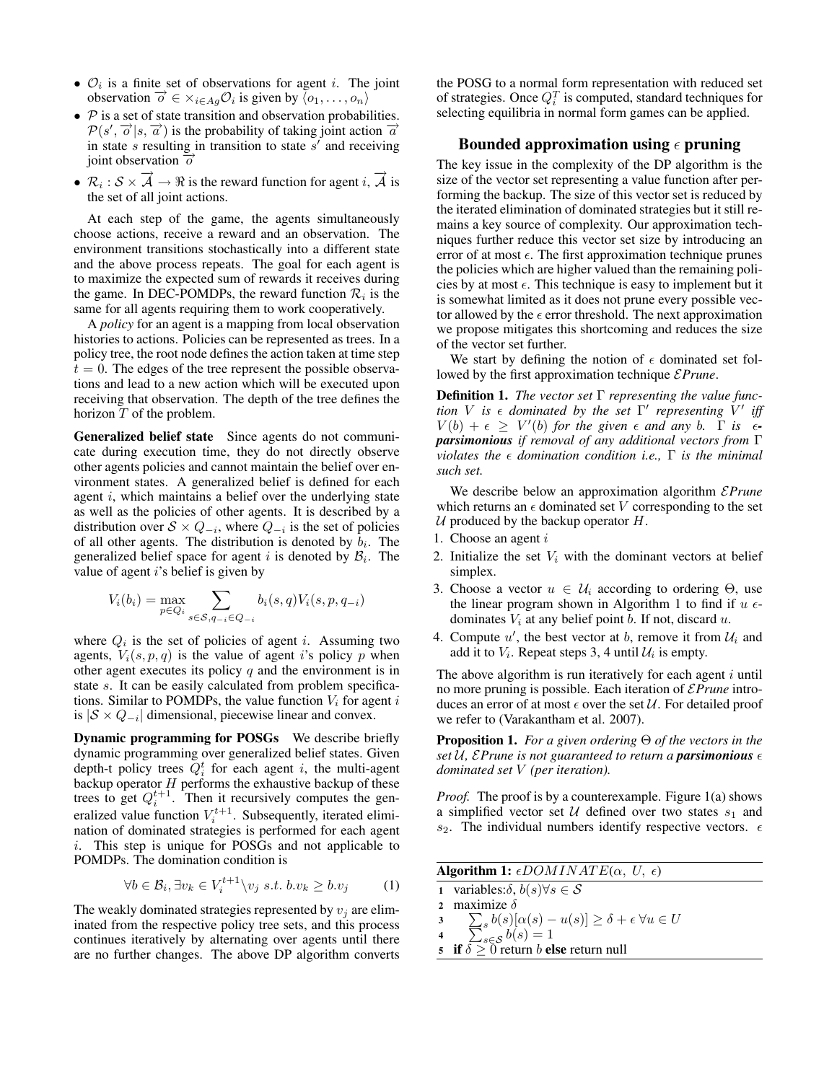- $\mathcal{O}_i$  is a finite set of observations for agent *i*. The joint  $\overrightarrow{O}_i$  is a nince set of observations for agent  $i$ . The<br>observation  $\overrightarrow{O} \in \times_{i \in Ag} O_i$  is given by  $\langle o_1, \ldots, o_n \rangle$
- $P$  is a set of state transition and observation probabilities.  $\mathcal{P}(s', \vec{o} | s, \vec{a})$  is the probability of taking joint action  $\vec{a}$ in state  $s$  resulting in transition to state  $s'$  and receiving joint observation  $\vec{\sigma}$
- $\overrightarrow{\mathcal{R}}_i : \mathcal{S} \times \overrightarrow{\mathcal{A}} \to \Re$  is the reward function for agent  $i$ ,  $\overrightarrow{\mathcal{A}}$  is the set of all joint actions.

At each step of the game, the agents simultaneously choose actions, receive a reward and an observation. The environment transitions stochastically into a different state and the above process repeats. The goal for each agent is to maximize the expected sum of rewards it receives during the game. In DEC-POMDPs, the reward function  $\mathcal{R}_i$  is the same for all agents requiring them to work cooperatively.

A *policy* for an agent is a mapping from local observation histories to actions. Policies can be represented as trees. In a policy tree, the root node defines the action taken at time step  $t = 0$ . The edges of the tree represent the possible observations and lead to a new action which will be executed upon receiving that observation. The depth of the tree defines the horizon  $T$  of the problem.

Generalized belief state Since agents do not communicate during execution time, they do not directly observe other agents policies and cannot maintain the belief over environment states. A generalized belief is defined for each agent i, which maintains a belief over the underlying state as well as the policies of other agents. It is described by a distribution over  $S \times Q_{-i}$ , where  $Q_{-i}$  is the set of policies of all other agents. The distribution is denoted by  $b_i$ . The generalized belief space for agent i is denoted by  $\mathcal{B}_i$ . The value of agent i's belief is given by

$$
V_i(b_i) = \max_{p \in Q_i} \sum_{s \in S, q_{-i} \in Q_{-i}} b_i(s, q) V_i(s, p, q_{-i})
$$

where  $Q_i$  is the set of policies of agent i. Assuming two agents,  $V_i(s, p, q)$  is the value of agent i's policy p when other agent executes its policy  $q$  and the environment is in state s. It can be easily calculated from problem specifications. Similar to POMDPs, the value function  $V_i$  for agent i is  $|S \times Q_{-i}|$  dimensional, piecewise linear and convex.

Dynamic programming for POSGs We describe briefly dynamic programming over generalized belief states. Given depth-t policy trees  $\overline{Q_i^t}$  for each agent i, the multi-agent backup operator  $H$  performs the exhaustive backup of these trees to get  $Q_i^{t+1}$ . Then it recursively computes the generalized value function  $V_i^{t+1}$ . Subsequently, iterated elimination of dominated strategies is performed for each agent i. This step is unique for POSGs and not applicable to POMDPs. The domination condition is

$$
\forall b \in \mathcal{B}_i, \exists v_k \in V_i^{t+1} \setminus v_j \ s.t. \ b.v_k \ge b.v_j \tag{1}
$$

The weakly dominated strategies represented by  $v_i$  are eliminated from the respective policy tree sets, and this process continues iteratively by alternating over agents until there are no further changes. The above DP algorithm converts

the POSG to a normal form representation with reduced set of strategies. Once  $Q_i^T$  is computed, standard techniques for selecting equilibria in normal form games can be applied.

### Bounded approximation using  $\epsilon$  pruning

The key issue in the complexity of the DP algorithm is the size of the vector set representing a value function after performing the backup. The size of this vector set is reduced by the iterated elimination of dominated strategies but it still remains a key source of complexity. Our approximation techniques further reduce this vector set size by introducing an error of at most  $\epsilon$ . The first approximation technique prunes the policies which are higher valued than the remaining policies by at most  $\epsilon$ . This technique is easy to implement but it is somewhat limited as it does not prune every possible vector allowed by the  $\epsilon$  error threshold. The next approximation we propose mitigates this shortcoming and reduces the size of the vector set further.

We start by defining the notion of  $\epsilon$  dominated set followed by the first approximation technique E*Prune*.

Definition 1. *The vector set* Γ *representing the value function* V is  $\epsilon$  dominated by the set  $\Gamma'$  representing  $\tilde{V}'$  iff  $V(b) + \epsilon \geq V'(b)$  for the given  $\epsilon$  and any b.  $\Gamma$  is  $\epsilon$ *parsimonious if removal of any additional vectors from* Γ *violates the domination condition i.e.,* Γ *is the minimal such set.*

We describe below an approximation algorithm E*Prune* which returns an  $\epsilon$  dominated set V corresponding to the set  $U$  produced by the backup operator  $H$ .

- 1. Choose an agent i
- 2. Initialize the set  $V_i$  with the dominant vectors at belief simplex.
- 3. Choose a vector  $u \in \mathcal{U}_i$  according to ordering  $\Theta$ , use the linear program shown in Algorithm 1 to find if  $u \in$ dominates  $V_i$  at any belief point b. If not, discard u.
- 4. Compute  $u'$ , the best vector at b, remove it from  $\mathcal{U}_i$  and add it to  $V_i$ . Repeat steps 3, 4 until  $\mathcal{U}_i$  is empty.

The above algorithm is run iteratively for each agent  $i$  until no more pruning is possible. Each iteration of E*Prune* introduces an error of at most  $\epsilon$  over the set  $\mathcal U$ . For detailed proof we refer to (Varakantham et al. 2007).

Proposition 1. *For a given ordering* Θ *of the vectors in the set*  $U$ , *EPrune is not guaranteed to return a parsimonious*  $\epsilon$ *dominated set* V *(per iteration).*

*Proof.* The proof is by a counterexample. Figure 1(a) shows a simplified vector set  $U$  defined over two states  $s_1$  and  $s_2$ . The individual numbers identify respective vectors.  $\epsilon$ 

|  | Algorithm 1: $\epsilon$ DOMINATE( $\alpha$ , U, $\epsilon$ ) |  |  |
|--|--------------------------------------------------------------|--|--|
|--|--------------------------------------------------------------|--|--|

1 variables: $\delta, b(s) \forall s \in \mathcal{S}$ 2 maximize  $\delta$ 

- 3  $\sum_s b(s) [\alpha(s) - u(s)] \ge \delta + \epsilon \ \forall u \in U$
- 4  $\sum_{s\in\mathcal{S}}b(s)=1$
- if  $\delta > 0$  return b else return null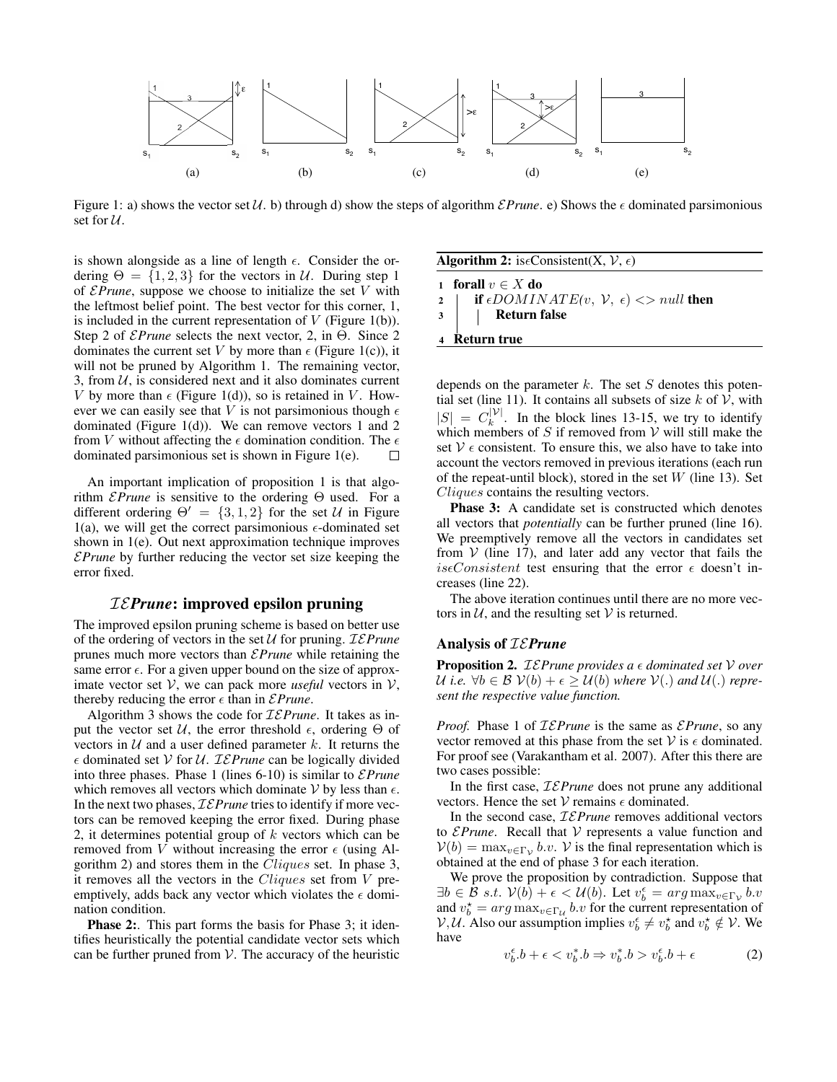

Figure 1: a) shows the vector set  $U$ . b) through d) show the steps of algorithm  $EPrune$ . e) Shows the  $\epsilon$  dominated parsimonious set for  $U$ .

is shown alongside as a line of length  $\epsilon$ . Consider the ordering  $\Theta = \{1, 2, 3\}$  for the vectors in U. During step 1 of E*Prune*, suppose we choose to initialize the set V with the leftmost belief point. The best vector for this corner, 1, is included in the current representation of  $V$  (Figure 1(b)). Step 2 of E*Prune* selects the next vector, 2, in Θ. Since 2 dominates the current set V by more than  $\epsilon$  (Figure 1(c)), it will not be pruned by Algorithm 1. The remaining vector, 3, from  $U$ , is considered next and it also dominates current V by more than  $\epsilon$  (Figure 1(d)), so is retained in V. However we can easily see that V is not parsimonious though  $\epsilon$ dominated (Figure 1(d)). We can remove vectors 1 and 2 from V without affecting the  $\epsilon$  domination condition. The  $\epsilon$ dominated parsimonious set is shown in Figure 1(e). П

An important implication of proposition 1 is that algorithm E*Prune* is sensitive to the ordering Θ used. For a different ordering  $\Theta' = \{3, 1, 2\}$  for the set U in Figure 1(a), we will get the correct parsimonious  $\epsilon$ -dominated set shown in 1(e). Out next approximation technique improves E*Prune* by further reducing the vector set size keeping the error fixed.

# IE*Prune*: improved epsilon pruning

The improved epsilon pruning scheme is based on better use of the ordering of vectors in the set U for pruning. IE*Prune* prunes much more vectors than E*Prune* while retaining the same error  $\epsilon$ . For a given upper bound on the size of approximate vector set  $V$ , we can pack more *useful* vectors in  $V$ , thereby reducing the error  $\epsilon$  than in *EPrune*.

Algorithm 3 shows the code for IE*Prune*. It takes as input the vector set  $U$ , the error threshold  $\epsilon$ , ordering  $\Theta$  of vectors in  $U$  and a user defined parameter k. It returns the  $\epsilon$  dominated set V for U. *IEPrune* can be logically divided into three phases. Phase 1 (lines 6-10) is similar to E*Prune* which removes all vectors which dominate  $V$  by less than  $\epsilon$ . In the next two phases, IE*Prune* tries to identify if more vectors can be removed keeping the error fixed. During phase 2, it determines potential group of  $k$  vectors which can be removed from V without increasing the error  $\epsilon$  (using Algorithm 2) and stores them in the Cliques set. In phase 3, it removes all the vectors in the Cliques set from V preemptively, adds back any vector which violates the  $\epsilon$  domination condition.

Phase 2:. This part forms the basis for Phase 3; it identifies heuristically the potential candidate vector sets which can be further pruned from  $V$ . The accuracy of the heuristic

| <b>Algorithm 2:</b> is eConsistent(X, $V$ , $\epsilon$ )                                            |  |  |
|-----------------------------------------------------------------------------------------------------|--|--|
| 1 forall $v \in X$ do                                                                               |  |  |
|                                                                                                     |  |  |
| 2   <b>if</b> $\epsilon$ DOMINATE(v, V, $\epsilon$ ) <> null <b>then</b><br>3   <b>Return false</b> |  |  |
| Return true                                                                                         |  |  |

depends on the parameter  $k$ . The set  $S$  denotes this potential set (line 11). It contains all subsets of size  $k$  of  $V$ , with  $|S| = C_k^{|\mathcal{V}|}$  $\kappa^{|\mathcal{V}|}$ . In the block lines 13-15, we try to identify which members of  $S$  if removed from  $V$  will still make the set  $V \epsilon$  consistent. To ensure this, we also have to take into account the vectors removed in previous iterations (each run of the repeat-until block), stored in the set  $W$  (line 13). Set Cliques contains the resulting vectors.

**Phase 3:** A candidate set is constructed which denotes all vectors that *potentially* can be further pruned (line 16). We preemptively remove all the vectors in candidates set from  $V$  (line 17), and later add any vector that fails the iseConsistent test ensuring that the error  $\epsilon$  doesn't increases (line 22).

The above iteration continues until there are no more vectors in  $U$ , and the resulting set  $V$  is returned.

### Analysis of IE*Prune*

**Proposition 2.** *IEPrune provides a*  $\epsilon$  *dominated set*  $V$  *over*  $U$  *i.e.* ∀ $b \in B$   $V(b) + \epsilon \ge U(b)$  where  $V(.)$  and  $U(.)$  repre*sent the respective value function.*

*Proof.* Phase 1 of IE*Prune* is the same as E*Prune*, so any vector removed at this phase from the set  $V$  is  $\epsilon$  dominated. For proof see (Varakantham et al. 2007). After this there are two cases possible:

In the first case, IE*Prune* does not prune any additional vectors. Hence the set  $V$  remains  $\epsilon$  dominated.

In the second case, IE*Prune* removes additional vectors to E*Prune*. Recall that V represents a value function and  $V(b) = \max_{v \in \Gamma_V} b.v.$  V is the final representation which is obtained at the end of phase 3 for each iteration.

We prove the proposition by contradiction. Suppose that  $\exists b \in \mathcal{B} \ s.t. \ \mathcal{V}(b) + \epsilon < \mathcal{U}(b)$ . Let  $v_b^{\epsilon} = arg \max_{v \in \Gamma_V} b.v$ and  $v_b^* = arg \max_{v \in \Gamma_u} b.v$  for the current representation of  $V, U$ . Also our assumption implies  $v_b^{\epsilon} \neq v_b^{\star}$  and  $v_b^{\star} \notin V$ . We have

$$
v_b^{\epsilon}.b + \epsilon < v_b^*.b \Rightarrow v_b^*.b > v_b^{\epsilon}.b + \epsilon \tag{2}
$$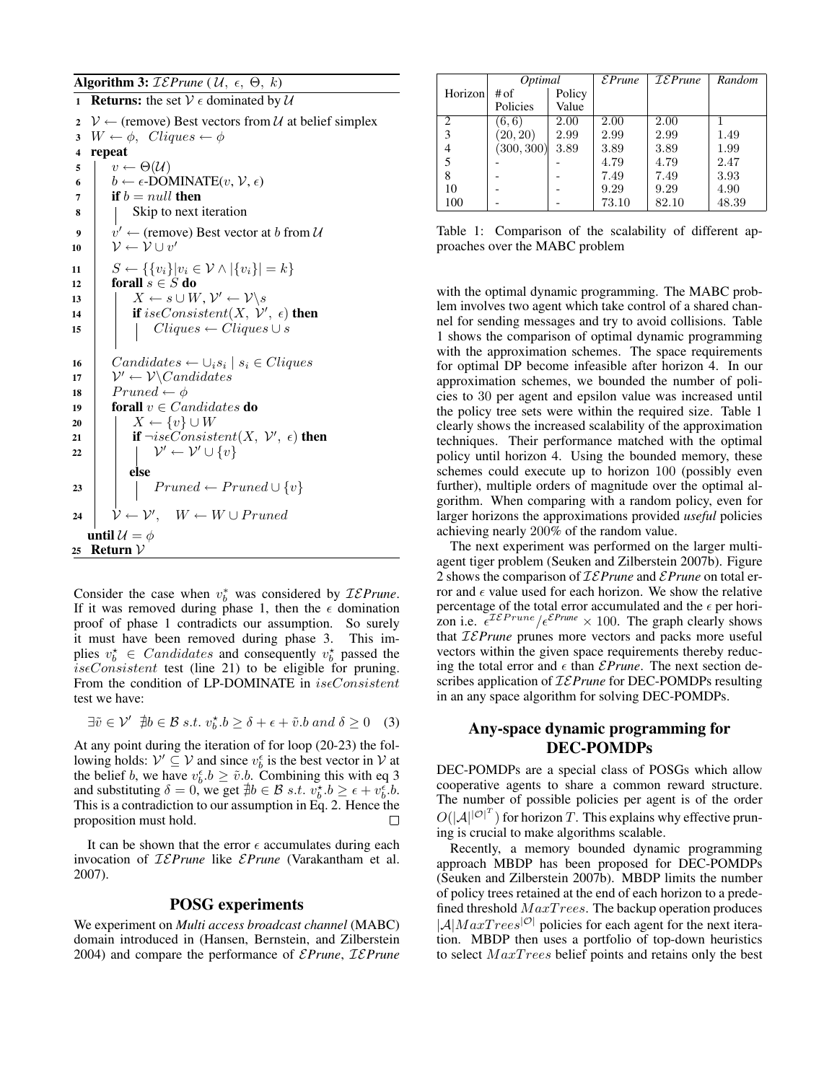### Algorithm 3:  $IEPrune$  ( $U, \epsilon, \Theta, k$ )

1 **Returns:** the set  $V \in \text{dominated by } U$ 2  $\mathcal{V} \leftarrow$  (remove) Best vectors from U at belief simplex 3  $W \leftarrow \phi$ , Cliques  $\leftarrow \phi$ 4 repeat 5  $v \leftarrow \Theta(\mathcal{U})$ 6  $b \leftarrow \epsilon\text{-DOMINATE}(v, V, \epsilon)$  $\tau$  | if  $b = null$  then 8 | Skip to next iteration 9  $\vert \quad v' \leftarrow$  (remove) Best vector at b from U 10  $\mathcal{V} \leftarrow \mathcal{V} \cup v'$ 11  $S \leftarrow {\{v_i\}|v_i \in \mathcal{V} \wedge |\{v_i\}| = k}$ 12 forall  $s \in S$  do  $\begin{array}{cc} \textbf{13} & | & | & X \leftarrow s \cup W, \, \mathcal{V}' \leftarrow \mathcal{V} \backslash s \end{array}$ 14 **if** iseConsistent $(X, \mathcal{V}', \epsilon)$  then 15 | |  $Cliques \leftarrow Cliques \cup s$ 16 | Candidates ←  $\cup_i s_i \mid s_i \in Cliques$ 17  $\mathcal{V}' \leftarrow \mathcal{V}\backslash\text{candidates}$ 18 Pruned  $\leftarrow \phi$ 19 **forall**  $v \in$  *Candidates* **do** 20 | |  $X \leftarrow \{v\} \cup W$ 21 **if**  $\neg is \epsilon Consistent(X, V', \epsilon)$  then 22  $\vert \quad \vert \quad \mathcal{V}' \leftarrow \mathcal{V}' \cup \{v\}$ else 23 | | Pruned ← Pruned  $\cup \{v\}$ 24  $\mathcal{V} \leftarrow \mathcal{V}'$ ,  $W \leftarrow W \cup Pruned$ until  $\mathcal{U} = \phi$ 25 Return  $V$ 

Consider the case when  $v_b^*$  was considered by  $\mathcal{IEPrune}$ . If it was removed during phase 1, then the  $\epsilon$  domination proof of phase 1 contradicts our assumption. So surely it must have been removed during phase 3. This implies  $v_b^* \in \text{Candidates}$  and consequently  $v_b^*$  passed the  $is \epsilon Consistent$  test (line 21) to be eligible for pruning. From the condition of LP-DOMINATE in  $is \epsilon Consistent$ test we have:

$$
\exists \tilde{v} \in \mathcal{V}' \ \nexists b \in \mathcal{B} \ s.t. \ v_b^{\star}.b \ge \delta + \epsilon + \tilde{v}.b \ and \ \delta \ge 0 \quad (3)
$$

At any point during the iteration of for loop (20-23) the following holds:  $V' \subseteq V$  and since  $v_b^{\epsilon}$  is the best vector in V at the belief b, we have  $v_b^{\epsilon} b \geq \tilde{v} b$ . Combining this with eq 3 and substituting  $\delta = 0$ , we get  $\nexists b \in \mathcal{B} \ s.t. \ v_b^{\star}.b \geq \epsilon + v_b^{\epsilon}.b$ . This is a contradiction to our assumption in Eq. 2. Hence the proposition must hold. П

It can be shown that the error  $\epsilon$  accumulates during each invocation of IE*Prune* like E*Prune* (Varakantham et al. 2007).

## POSG experiments

We experiment on *Multi access broadcast channel* (MABC) domain introduced in (Hansen, Bernstein, and Zilberstein 2004) and compare the performance of E*Prune*, IE*Prune*

|                                                                                                                                                                 | Optimal    |        | EPrune | $\mathcal{IEPrune}$ | Random |
|-----------------------------------------------------------------------------------------------------------------------------------------------------------------|------------|--------|--------|---------------------|--------|
| Horizon                                                                                                                                                         | # of       | Policy |        |                     |        |
|                                                                                                                                                                 | Policies   | Value  |        |                     |        |
| $\mathcal{D}_{\mathcal{A}}^{\mathcal{A}}(\mathcal{A})=\mathcal{D}_{\mathcal{A}}^{\mathcal{A}}(\mathcal{A})\mathcal{D}_{\mathcal{A}}^{\mathcal{A}}(\mathcal{A})$ | (6,6)      | 2.00   | 2.00   | 2.00                |        |
| 3                                                                                                                                                               | (20, 20)   | 2.99   | 2.99   | 2.99                | 1.49   |
| 4                                                                                                                                                               | (300, 300) | 3.89   | 3.89   | 3.89                | 1.99   |
| 5                                                                                                                                                               |            |        | 4.79   | 4.79                | 2.47   |
| 8                                                                                                                                                               |            |        | 7.49   | 7.49                | 3.93   |
| 10                                                                                                                                                              |            |        | 9.29   | 9.29                | 4.90   |
| 100                                                                                                                                                             |            |        | 73.10  | 82.10               | 48.39  |

Table 1: Comparison of the scalability of different approaches over the MABC problem

with the optimal dynamic programming. The MABC problem involves two agent which take control of a shared channel for sending messages and try to avoid collisions. Table 1 shows the comparison of optimal dynamic programming with the approximation schemes. The space requirements for optimal DP become infeasible after horizon 4. In our approximation schemes, we bounded the number of policies to 30 per agent and epsilon value was increased until the policy tree sets were within the required size. Table 1 clearly shows the increased scalability of the approximation techniques. Their performance matched with the optimal policy until horizon 4. Using the bounded memory, these schemes could execute up to horizon 100 (possibly even further), multiple orders of magnitude over the optimal algorithm. When comparing with a random policy, even for larger horizons the approximations provided *useful* policies achieving nearly 200% of the random value.

The next experiment was performed on the larger multiagent tiger problem (Seuken and Zilberstein 2007b). Figure 2 shows the comparison of IE*Prune* and E*Prune* on total error and  $\epsilon$  value used for each horizon. We show the relative percentage of the total error accumulated and the  $\epsilon$  per horizon i.e.  $\epsilon^{IEPrune}/\epsilon^{EPrune} \times 100$ . The graph clearly shows that IE*Prune* prunes more vectors and packs more useful vectors within the given space requirements thereby reducing the total error and  $\epsilon$  than *EPrune*. The next section describes application of IE*Prune* for DEC-POMDPs resulting in an any space algorithm for solving DEC-POMDPs.

## Any-space dynamic programming for DEC-POMDPs

DEC-POMDPs are a special class of POSGs which allow cooperative agents to share a common reward structure. The number of possible policies per agent is of the order  $O(|A|^{|\mathcal{O}|^T})$  for horizon T. This explains why effective pruning is crucial to make algorithms scalable.

Recently, a memory bounded dynamic programming approach MBDP has been proposed for DEC-POMDPs (Seuken and Zilberstein 2007b). MBDP limits the number of policy trees retained at the end of each horizon to a predefined threshold  $MaxTrees$ . The backup operation produces  $|A|Max Trees^{|O|}$  policies for each agent for the next iteration. MBDP then uses a portfolio of top-down heuristics to select  $MaxTrees$  belief points and retains only the best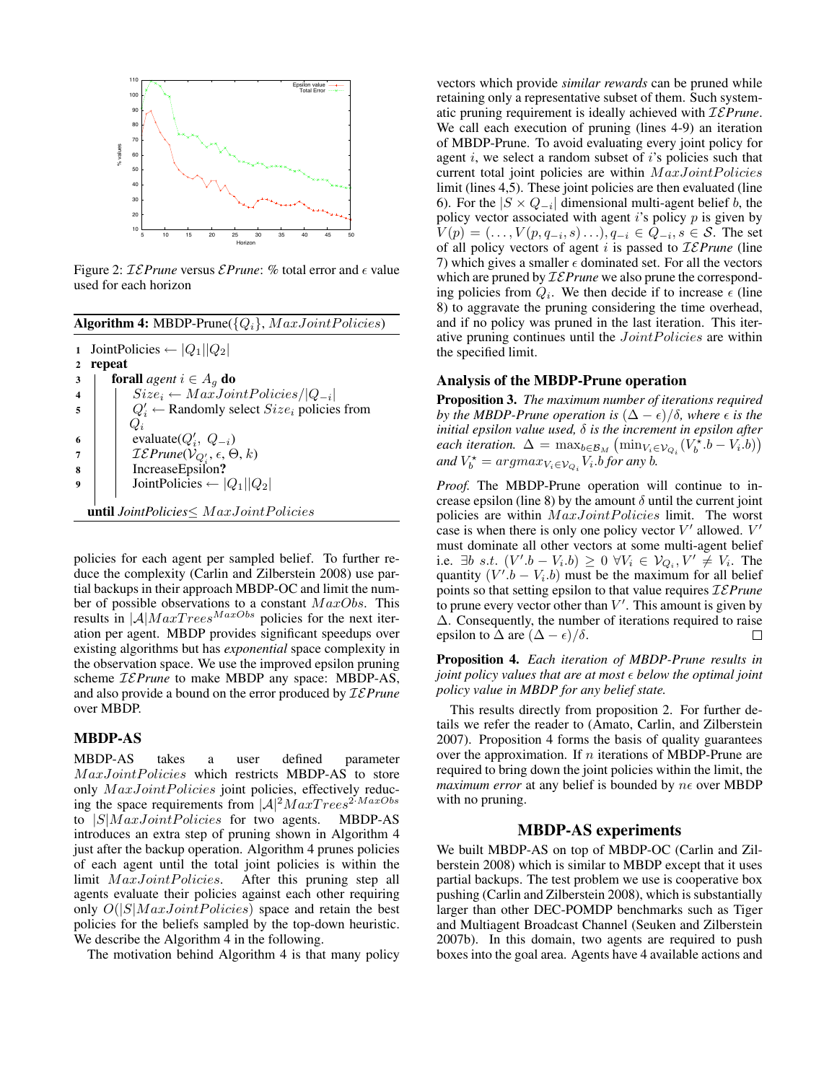

Figure 2:  $\mathcal{IEPrune}$  versus  $\mathcal{EPrune}:$  % total error and  $\epsilon$  value used for each horizon

|    | <b>Algorithm 4:</b> MBDP-Prune( $\{Q_i\}$ , $MaxJointPolitics$ ) |  |  |
|----|------------------------------------------------------------------|--|--|
| 1  | JointPolicies $\leftarrow  Q_1  Q_2 $                            |  |  |
| 2  | repeat                                                           |  |  |
| 3  | <b>forall</b> agent $i \in A_q$ <b>do</b>                        |  |  |
|    | $Size_i \leftarrow MaxJointPolitics/ Q_{-i} $                    |  |  |
| 5  | $Q'_i \leftarrow$ Randomly select $Size_i$ policies from         |  |  |
|    | $Q_i$                                                            |  |  |
| -6 | evaluate( $Q'_i$ , $Q_{-i}$ )                                    |  |  |
|    | $\mathcal{IEPrune}(V_{Q_i'}, \epsilon, \Theta, k)$               |  |  |
| 8  | IncreaseEpsilon?                                                 |  |  |
| 9  | JointPolicies $\leftarrow  Q_1  Q_2 $                            |  |  |
|    |                                                                  |  |  |
|    | <b>until</b> JointPolicies $\leq$ MaxJointPolicies               |  |  |
|    |                                                                  |  |  |

policies for each agent per sampled belief. To further reduce the complexity (Carlin and Zilberstein 2008) use partial backups in their approach MBDP-OC and limit the number of possible observations to a constant  $MaxObs$ . This results in  $|\mathcal{A}|$   $MaxTrees^{MaxObs}$  policies for the next iteration per agent. MBDP provides significant speedups over existing algorithms but has *exponential* space complexity in the observation space. We use the improved epsilon pruning scheme IE*Prune* to make MBDP any space: MBDP-AS, and also provide a bound on the error produced by IE*Prune* over MBDP.

### MBDP-AS

MBDP-AS takes a user defined parameter MaxJointPolicies which restricts MBDP-AS to store only  $MaxJointPolitics$  joint policies, effectively reducing the space requirements from  $|A|^2 Max Trees^{2 \cdot MaxObs}$ to  $|S|$ *MaxJointPolicies* for two agents. MBDP-AS introduces an extra step of pruning shown in Algorithm 4 just after the backup operation. Algorithm 4 prunes policies of each agent until the total joint policies is within the limit  $MaxJointPolitics$ . After this pruning step all agents evaluate their policies against each other requiring only  $O(|S|MaxJointPolitics)$  space and retain the best policies for the beliefs sampled by the top-down heuristic. We describe the Algorithm 4 in the following.

The motivation behind Algorithm 4 is that many policy

vectors which provide *similar rewards* can be pruned while retaining only a representative subset of them. Such systematic pruning requirement is ideally achieved with IE*Prune*. We call each execution of pruning (lines 4-9) an iteration of MBDP-Prune. To avoid evaluating every joint policy for agent  $i$ , we select a random subset of  $i$ 's policies such that current total joint policies are within  $MaxJointPolitics$ limit (lines 4,5). These joint policies are then evaluated (line 6). For the  $|S \times Q_{-i}|$  dimensional multi-agent belief b, the policy vector associated with agent  $i$ 's policy  $p$  is given by  $V(p) = (..., V(p, q_{-i}, s)...), q_{-i} \in Q_{-i}, s \in S$ . The set of all policy vectors of agent i is passed to IE*Prune* (line 7) which gives a smaller  $\epsilon$  dominated set. For all the vectors which are pruned by IE*Prune* we also prune the corresponding policies from  $Q_i$ . We then decide if to increase  $\epsilon$  (line 8) to aggravate the pruning considering the time overhead, and if no policy was pruned in the last iteration. This iterative pruning continues until the  $JointPolitics$  are within the specified limit.

### Analysis of the MBDP-Prune operation

Proposition 3. *The maximum number of iterations required by the MBDP-Prune operation is*  $(\Delta - \epsilon)/\delta$ *, where*  $\epsilon$  *is the initial epsilon value used,* δ *is the increment in epsilon after each iteration.*  $\Delta = \max_{b \in \mathcal{B}_M} (\min_{V_i \in \mathcal{V}_{Q_i}} (V_b^{\hat{\star}}.b - V_i.b))$ and  $V_b^* = argmax_{V_i \in V_{Q_i}} V_i$  *b* for any *b*.

*Proof.* The MBDP-Prune operation will continue to increase epsilon (line 8) by the amount  $\delta$  until the current joint policies are within  $MaxJointPolitics$  limit. The worst case is when there is only one policy vector  $V'$  allowed.  $V'$ must dominate all other vectors at some multi-agent belief i.e.  $\exists b \ s.t. \ (V'.b - V_i.b) \geq 0 \ \forall V_i \in \mathcal{V}_{Q_i}, V' \neq V_i$ . The quantity  $(V' \cdot b - V_i \cdot b)$  must be the maximum for all belief points so that setting epsilon to that value requires IE*Prune* to prune every vector other than  $V'$ . This amount is given by ∆. Consequently, the number of iterations required to raise epsilon to  $\Delta$  are  $(\Delta - \epsilon)/\delta$ .  $\Box$ 

Proposition 4. *Each iteration of MBDP-Prune results in joint policy values that are at most below the optimal joint policy value in MBDP for any belief state.*

This results directly from proposition 2. For further details we refer the reader to (Amato, Carlin, and Zilberstein 2007). Proposition 4 forms the basis of quality guarantees over the approximation. If  $n$  iterations of MBDP-Prune are required to bring down the joint policies within the limit, the *maximum error* at any belief is bounded by  $n\epsilon$  over MBDP with no pruning.

### MBDP-AS experiments

We built MBDP-AS on top of MBDP-OC (Carlin and Zilberstein 2008) which is similar to MBDP except that it uses partial backups. The test problem we use is cooperative box pushing (Carlin and Zilberstein 2008), which is substantially larger than other DEC-POMDP benchmarks such as Tiger and Multiagent Broadcast Channel (Seuken and Zilberstein 2007b). In this domain, two agents are required to push boxes into the goal area. Agents have 4 available actions and